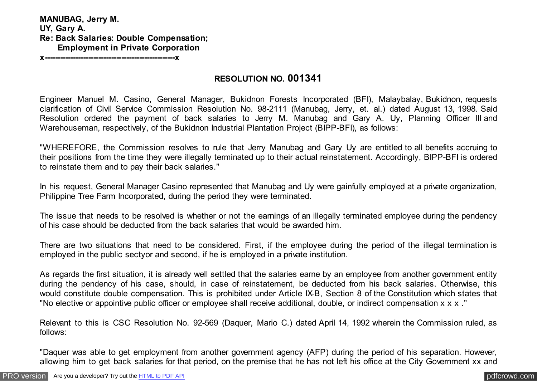**MANUBAG, Jerry M. UY, Gary A. Re: Back Salaries: Double Compensation; Employment in Private Corporation x---------------------------------------------------x**

**RESOLUTION NO. 001341**

Engineer Manuel M. Casino, General Manager, Bukidnon Forests Incorporated (BFI), Malaybalay, Bukidnon, requests clarification of Civil Service Commission Resolution No. 98-2111 (Manubag, Jerry, et. al.) dated August 13, 1998. Said Resolution ordered the payment of back salaries to Jerry M. Manubag and Gary A. Uy, Planning Officer III and Warehouseman, respectively, of the Bukidnon Industrial Plantation Project (BIPP-BFI), as follows:

"WHEREFORE, the Commission resolves to rule that Jerry Manubag and Gary Uy are entitled to all benefits accruing to their positions from the time they were illegally terminated up to their actual reinstatement. Accordingly, BIPP-BFI is ordered to reinstate them and to pay their back salaries."

In his request, General Manager Casino represented that Manubag and Uy were gainfully employed at a private organization, Philippine Tree Farm Incorporated, during the period they were terminated.

The issue that needs to be resolved is whether or not the earnings of an illegally terminated employee during the pendency of his case should be deducted from the back salaries that would be awarded him.

There are two situations that need to be considered. First, if the employee during the period of the illegal termination is employed in the public sectyor and second, if he is employed in a private institution.

As regards the first situation, it is already well settled that the salaries earne by an employee from another government entity during the pendency of his case, should, in case of reinstatement, be deducted from his back salaries. Otherwise, this would constitute double compensation. This is prohibited under Article IX-B, Section 8 of the Constitution which states that "No elective or appointive public officer or employee shall receive additional, double, or indirect compensation x x x ."

Relevant to this is CSC Resolution No. 92-569 (Daquer, Mario C.) dated April 14, 1992 wherein the Commission ruled, as follows:

"Daquer was able to get employment from another government agency (AFP) during the period of his separation. However, allowing him to get back salaries for that period, on the premise that he has not left his office at the City Government xx and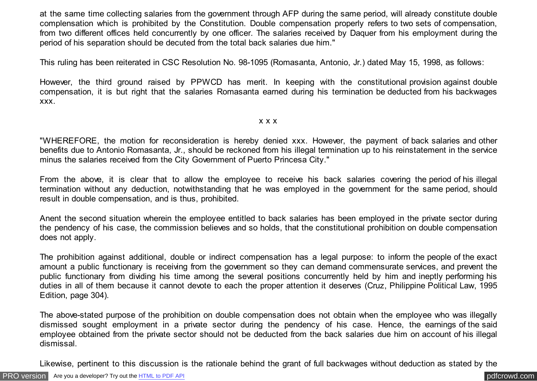at the same time collecting salaries from the government through AFP during the same period, will already constitute double complensation which is prohibited by the Constitution. Double compensation properly refers to two sets of compensation, from two different offices held concurrently by one officer. The salaries received by Daquer from his employment during the period of his separation should be decuted from the total back salaries due him."

This ruling has been reiterated in CSC Resolution No. 98-1095 (Romasanta, Antonio, Jr.) dated May 15, 1998, as follows:

However, the third ground raised by PPWCD has merit. In keeping with the constitutional provision against double compensation, it is but right that the salaries Romasanta earned during his termination be deducted from his backwages xxx.

x x x

"WHEREFORE, the motion for reconsideration is hereby denied xxx. However, the payment of back salaries and other benefits due to Antonio Romasanta, Jr., should be reckoned from his illegal termination up to his reinstatement in the service minus the salaries received from the City Government of Puerto Princesa City."

From the above, it is clear that to allow the employee to receive his back salaries covering the period of his illegal termination without any deduction, notwithstanding that he was employed in the government for the same period, should result in double compensation, and is thus, prohibited.

Anent the second situation wherein the employee entitled to back salaries has been employed in the private sector during the pendency of his case, the commission believes and so holds, that the constitutional prohibition on double compensation does not apply.

The prohibition against additional, double or indirect compensation has a legal purpose: to inform the people of the exact amount a public functionary is receiving from the government so they can demand commensurate services, and prevent the public functionary from dividing his time among the several positions concurrently held by him and ineptly performing his duties in all of them because it cannot devote to each the proper attention it deserves (Cruz, Philippine Political Law, 1995 Edition, page 304).

The above-stated purpose of the prohibition on double compensation does not obtain when the employee who was illegally dismissed sought employment in a private sector during the pendency of his case. Hence, the earnings of the said employee obtained from the private sector should not be deducted from the back salaries due him on account of his illegal dismissal.

Likewise, pertinent to this discussion is the rationale behind the grant of full backwages without deduction as stated by the